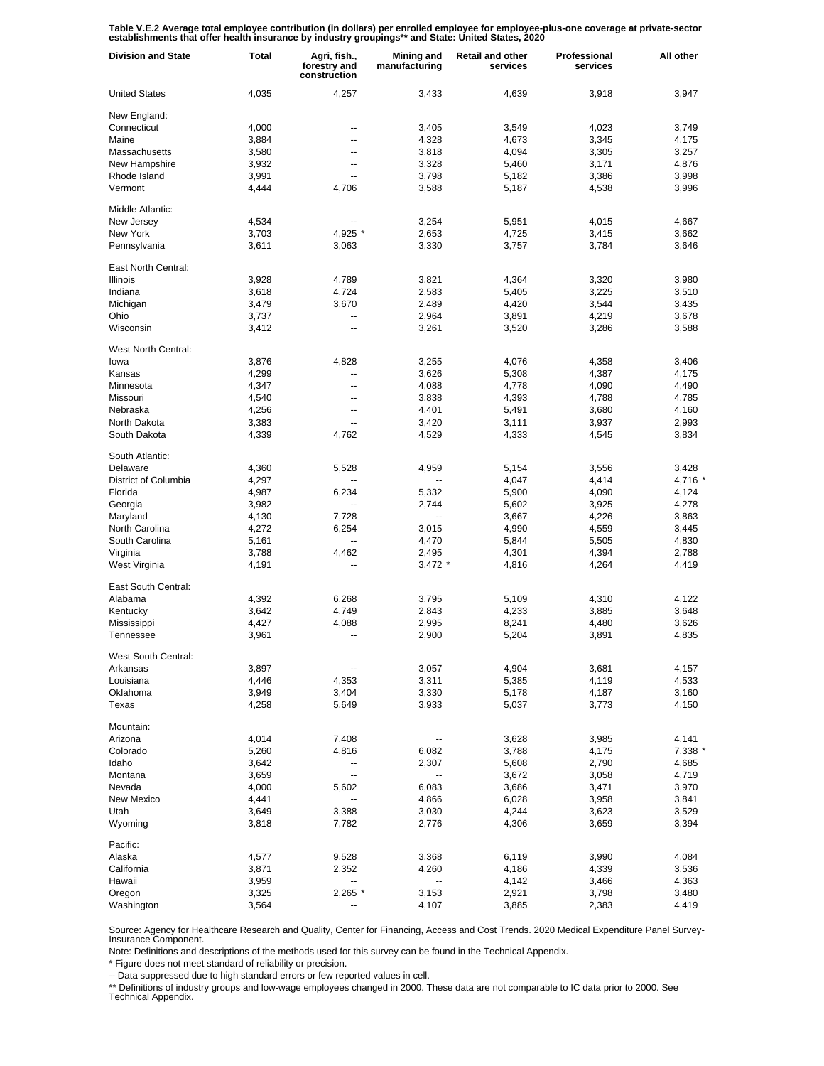Table V.E.2 Average total employee contribution (in dollars) per enrolled employee for employee-plus-one coverage at private-sector<br>establishments that offer health insurance by industry groupings\*\* and State: United State

| <b>Division and State</b> | Total | Agri, fish.,<br>forestry and<br>construction | <b>Mining and</b><br>manufacturing | <b>Retail and other</b><br>services | Professional<br>services | All other |
|---------------------------|-------|----------------------------------------------|------------------------------------|-------------------------------------|--------------------------|-----------|
| <b>United States</b>      | 4,035 | 4,257                                        | 3,433                              | 4,639                               | 3,918                    | 3,947     |
| New England:              |       |                                              |                                    |                                     |                          |           |
| Connecticut               | 4,000 |                                              | 3,405                              | 3,549                               | 4,023                    | 3,749     |
| Maine                     | 3,884 | --                                           | 4,328                              | 4,673                               | 3,345                    | 4,175     |
| Massachusetts             | 3,580 | --                                           | 3,818                              | 4,094                               | 3,305                    | 3,257     |
| New Hampshire             | 3,932 | --                                           | 3,328                              | 5,460                               | 3,171                    | 4,876     |
| Rhode Island              | 3,991 |                                              | 3,798                              | 5,182                               | 3,386                    | 3,998     |
| Vermont                   | 4,444 | 4,706                                        | 3,588                              | 5,187                               | 4,538                    | 3,996     |
| Middle Atlantic:          |       |                                              |                                    |                                     |                          |           |
| New Jersey                | 4,534 |                                              | 3,254                              | 5,951                               | 4,015                    | 4,667     |
| New York                  | 3,703 | 4,925 *                                      | 2,653                              | 4,725                               | 3,415                    | 3,662     |
| Pennsylvania              | 3,611 | 3,063                                        | 3,330                              | 3,757                               | 3,784                    | 3,646     |
| East North Central:       |       |                                              |                                    |                                     |                          |           |
| <b>Illinois</b>           | 3,928 | 4,789                                        | 3,821                              | 4,364                               | 3,320                    | 3,980     |
| Indiana                   | 3,618 | 4,724                                        | 2,583                              | 5,405                               | 3,225                    | 3,510     |
| Michigan                  | 3,479 | 3,670                                        | 2,489                              | 4,420                               | 3,544                    | 3,435     |
| Ohio                      | 3,737 | --                                           | 2,964                              | 3,891                               | 4,219                    | 3,678     |
| Wisconsin                 | 3,412 | --                                           | 3,261                              | 3,520                               | 3,286                    | 3,588     |
| West North Central:       |       |                                              |                                    |                                     |                          |           |
| lowa                      | 3,876 | 4,828                                        | 3,255                              | 4,076                               | 4,358                    | 3,406     |
| Kansas                    | 4,299 |                                              | 3,626                              | 5,308                               | 4,387                    | 4,175     |
| Minnesota                 | 4,347 | --                                           | 4,088                              | 4,778                               | 4,090                    | 4,490     |
| Missouri                  | 4,540 | --                                           | 3,838                              | 4,393                               | 4,788                    | 4,785     |
| Nebraska                  | 4,256 | --                                           | 4,401                              | 5,491                               | 3,680                    | 4,160     |
| North Dakota              | 3,383 | --                                           | 3,420                              | 3,111                               | 3,937                    | 2,993     |
| South Dakota              | 4,339 | 4,762                                        | 4,529                              | 4,333                               | 4,545                    | 3,834     |
| South Atlantic:           |       |                                              |                                    |                                     |                          |           |
| Delaware                  | 4,360 | 5,528                                        | 4,959                              | 5,154                               | 3,556                    | 3,428     |
| District of Columbia      | 4,297 |                                              | --                                 | 4,047                               | 4,414                    | 4,716 *   |
| Florida                   | 4,987 | 6,234                                        | 5,332                              | 5,900                               | 4,090                    | 4,124     |
| Georgia                   | 3,982 | --                                           | 2,744                              | 5,602                               | 3,925                    | 4,278     |
| Maryland                  | 4,130 | 7,728                                        | --                                 | 3,667                               | 4,226                    | 3,863     |
| North Carolina            | 4,272 | 6,254                                        | 3,015                              | 4,990                               | 4,559                    | 3,445     |
| South Carolina            | 5,161 | ۰.                                           | 4,470                              | 5,844                               | 5,505                    | 4,830     |
| Virginia                  | 3,788 | 4,462                                        | 2,495                              | 4,301                               | 4,394                    | 2,788     |
| West Virginia             | 4,191 | --                                           | $3,472$ *                          | 4,816                               | 4,264                    | 4,419     |
| East South Central:       |       |                                              |                                    |                                     |                          |           |
| Alabama                   | 4,392 | 6,268                                        | 3,795                              | 5,109                               | 4,310                    | 4,122     |
| Kentucky                  | 3,642 | 4,749                                        | 2,843                              | 4,233                               | 3,885                    | 3,648     |
| Mississippi               | 4,427 | 4,088                                        | 2,995                              | 8,241                               | 4,480                    | 3,626     |
| Tennessee                 | 3,961 |                                              | 2,900                              | 5,204                               | 3,891                    | 4,835     |
| West South Central:       |       |                                              |                                    |                                     |                          |           |
| Arkansas                  | 3,897 |                                              | 3,057                              | 4,904                               | 3,681                    | 4,157     |
| Louisiana                 | 4,446 | 4,353                                        | 3,311                              | 5,385                               | 4,119                    | 4,533     |
| Oklahoma                  | 3,949 | 3,404                                        | 3,330                              | 5,178                               | 4,187                    | 3,160     |
| Texas                     | 4,258 | 5,649                                        | 3,933                              | 5,037                               | 3,773                    | 4,150     |
| Mountain:                 |       |                                              |                                    |                                     |                          |           |
| Arizona                   | 4,014 | 7,408                                        | --                                 | 3,628                               | 3,985                    | 4,141     |
| Colorado                  | 5,260 | 4,816                                        | 6,082                              | 3,788                               | 4,175                    | 7,338 *   |
| Idaho                     | 3,642 | --                                           | 2,307                              | 5,608                               | 2,790                    | 4,685     |
| Montana                   | 3,659 | --                                           | --                                 | 3,672                               | 3,058                    | 4,719     |
| Nevada                    | 4,000 | 5,602                                        | 6,083                              | 3,686                               | 3,471                    | 3,970     |
| New Mexico                | 4,441 | --                                           | 4,866                              | 6,028                               | 3,958                    | 3,841     |
| Utah                      | 3,649 | 3,388                                        | 3,030                              | 4,244                               | 3,623                    | 3,529     |
| Wyoming                   | 3,818 | 7,782                                        | 2,776                              | 4,306                               | 3,659                    | 3,394     |
| Pacific:                  |       |                                              |                                    |                                     |                          |           |
| Alaska                    | 4,577 | 9,528                                        | 3,368                              | 6,119                               | 3,990                    | 4,084     |
| California                | 3,871 | 2,352                                        | 4,260                              | 4,186                               | 4,339                    | 3,536     |
| Hawaii                    | 3,959 | --                                           | ⊷                                  | 4,142                               | 3,466                    | 4,363     |
| Oregon                    | 3,325 | 2,265 *                                      | 3,153                              | 2,921                               | 3,798                    | 3,480     |
| Washington                | 3,564 |                                              | 4,107                              | 3,885                               | 2,383                    | 4,419     |

Source: Agency for Healthcare Research and Quality, Center for Financing, Access and Cost Trends. 2020 Medical Expenditure Panel Survey-Insurance Component.

Note: Definitions and descriptions of the methods used for this survey can be found in the Technical Appendix.

\* Figure does not meet standard of reliability or precision.

-- Data suppressed due to high standard errors or few reported values in cell.

\*\* Definitions of industry groups and low-wage employees changed in 2000. These data are not comparable to IC data prior to 2000. See Technical Appendix.